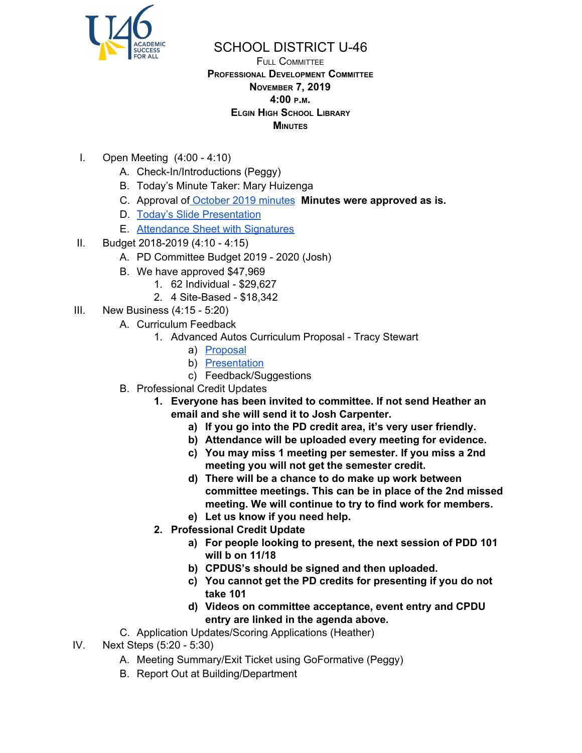

## SCHOOL DISTRICT U-46

## FULL COMMITTEE **PROFESSIONAL DEVELOPMENT COMMITTEE NOVEMBER 7, 2019 4:00 <sup>P</sup>.M. ELGIN HIGH SCHOOL LIBRARY MINUTES**

- I. Open Meeting (4:00 4:10)
	- A. Check-In/Introductions (Peggy)
	- B. Today's Minute Taker: Mary Huizenga
	- C. Approval of [October](https://www.u-46.org/site/handlers/filedownload.ashx?moduleinstanceid=23441&dataid=36819&FileName=10319%20Minutes%20FC.pdf) 2019 minutes **Minutes were approved as is.**
	- D. Today's Slide [Presentation](https://docs.google.com/presentation/d/1XvnQQO3pUEObWgVCc1VOYmbLbG0UU0QiUORQELFLIyE/edit?usp=sharing)
	- E. [Attendance](https://drive.google.com/file/d/1APqu4XPnV7t61U-D1sTc_hve2N-rXlAC/view?usp=sharing) Sheet with Signatures
- II. Budget 2018-2019 (4:10 4:15)
	- A. PD Committee Budget 2019 2020 (Josh)
	- B. We have approved \$47,969
		- 1. 62 Individual \$29,627
		- 2. 4 Site-Based \$18,342
- III. New Business (4:15 5:20)
	- A. Curriculum Feedback
		- 1. Advanced Autos Curriculum Proposal Tracy Stewart
			- a) [Proposal](https://docs.google.com/document/d/18kveWJ3GKHwIGWQFoIDOZKbv7Hev7TB3DTifsylr0Y8/edit?usp=sharing)
			- b) [Presentation](https://docs.google.com/presentation/d/1TDDv78L3mkhRDIFSM2KhcovbN4M3koqYygJ8xjx8NZw/edit?usp=sharing)
			- c) Feedback/Suggestions
	- B. Professional Credit Updates
		- **1. Everyone has been invited to committee. If not send Heather an email and she will send it to Josh Carpenter.**
			- **a) If you go into the PD credit area, it's very user friendly.**
			- **b) Attendance will be uploaded every meeting for evidence.**
			- **c) You may miss 1 meeting per semester. If you miss a 2nd meeting you will not get the semester credit.**
			- **d) There will be a chance to do make up work between committee meetings. This can be in place of the 2nd missed meeting. We will continue to try to find work for members.**
			- **e) Let us know if you need help.**
		- **2. Professional Credit Update**
			- **a) For people looking to present, the next session of PDD 101 will b on 11/18**
			- **b) CPDUS's should be signed and then uploaded.**
			- **c) You cannot get the PD credits for presenting if you do not take 101**
			- **d) Videos on committee acceptance, event entry and CPDU entry are linked in the agenda above.**
	- C. Application Updates/Scoring Applications (Heather)
- IV. Next Steps (5:20 5:30)
	- A. Meeting Summary/Exit Ticket using GoFormative (Peggy)
	- B. Report Out at Building/Department